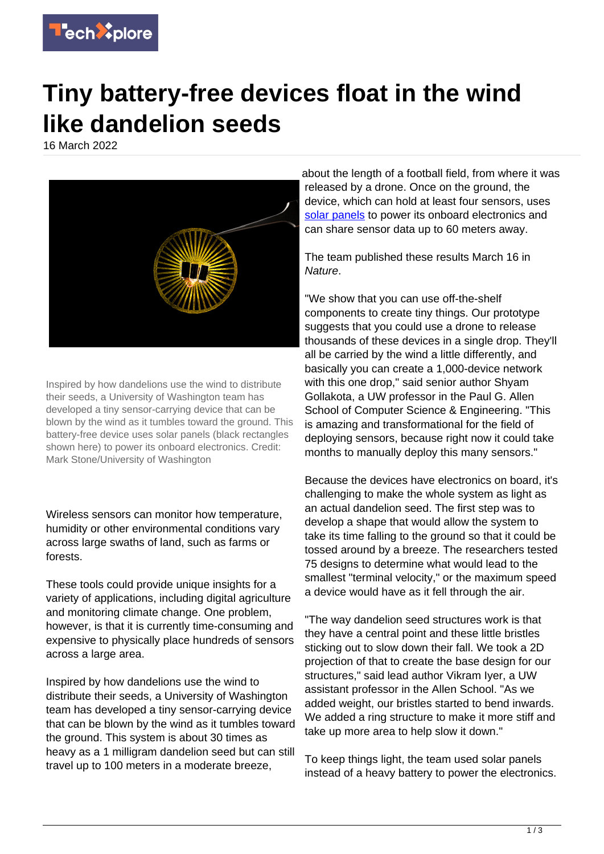

## **Tiny battery-free devices float in the wind like dandelion seeds**

16 March 2022



Inspired by how dandelions use the wind to distribute their seeds, a University of Washington team has developed a tiny sensor-carrying device that can be blown by the wind as it tumbles toward the ground. This battery-free device uses solar panels (black rectangles shown here) to power its onboard electronics. Credit: Mark Stone/University of Washington

Wireless sensors can monitor how temperature, humidity or other environmental conditions vary across large swaths of land, such as farms or forests.

These tools could provide unique insights for a variety of applications, including digital agriculture and monitoring climate change. One problem, however, is that it is currently time-consuming and expensive to physically place hundreds of sensors across a large area.

Inspired by how dandelions use the wind to distribute their seeds, a University of Washington team has developed a tiny sensor-carrying device that can be blown by the wind as it tumbles toward the ground. This system is about 30 times as heavy as a 1 milligram dandelion seed but can still travel up to 100 meters in a moderate breeze,

about the length of a football field, from where it was released by a drone. Once on the ground, the device, which can hold at least four sensors, uses [solar panels](https://techxplore.com/tags/solar+panels/) to power its onboard electronics and can share sensor data up to 60 meters away.

The team published these results March 16 in Nature.

"We show that you can use off-the-shelf components to create tiny things. Our prototype suggests that you could use a drone to release thousands of these devices in a single drop. They'll all be carried by the wind a little differently, and basically you can create a 1,000-device network with this one drop," said senior author Shyam Gollakota, a UW professor in the Paul G. Allen School of Computer Science & Engineering. "This is amazing and transformational for the field of deploying sensors, because right now it could take months to manually deploy this many sensors."

Because the devices have electronics on board, it's challenging to make the whole system as light as an actual dandelion seed. The first step was to develop a shape that would allow the system to take its time falling to the ground so that it could be tossed around by a breeze. The researchers tested 75 designs to determine what would lead to the smallest "terminal velocity," or the maximum speed a device would have as it fell through the air.

"The way dandelion seed structures work is that they have a central point and these little bristles sticking out to slow down their fall. We took a 2D projection of that to create the base design for our structures," said lead author Vikram Iyer, a UW assistant professor in the Allen School. "As we added weight, our bristles started to bend inwards. We added a ring structure to make it more stiff and take up more area to help slow it down."

To keep things light, the team used solar panels instead of a heavy battery to power the electronics.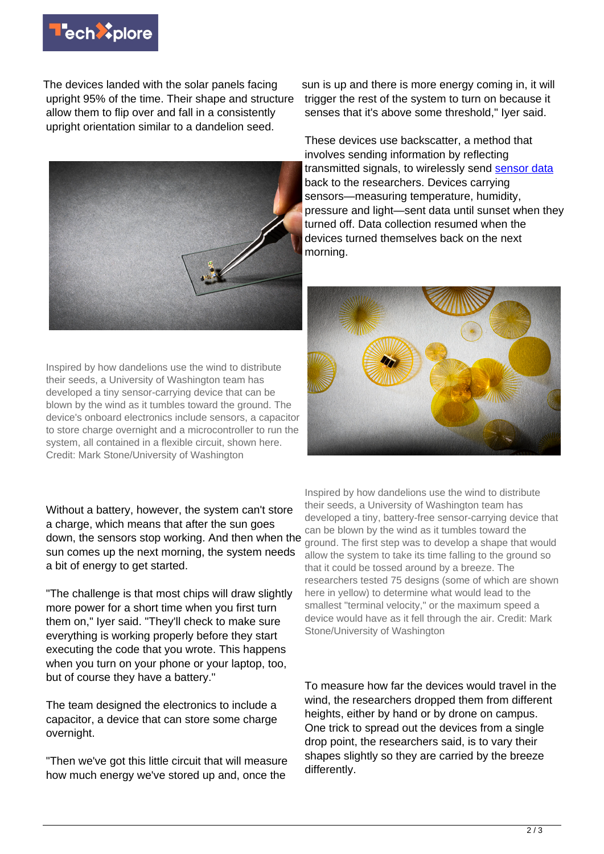

The devices landed with the solar panels facing upright 95% of the time. Their shape and structure allow them to flip over and fall in a consistently upright orientation similar to a dandelion seed.



Inspired by how dandelions use the wind to distribute their seeds, a University of Washington team has developed a tiny sensor-carrying device that can be blown by the wind as it tumbles toward the ground. The device's onboard electronics include sensors, a capacitor to store charge overnight and a microcontroller to run the system, all contained in a flexible circuit, shown here. Credit: Mark Stone/University of Washington

Without a battery, however, the system can't store a charge, which means that after the sun goes down, the sensors stop working. And then when the sun comes up the next morning, the system needs a bit of energy to get started.

"The challenge is that most chips will draw slightly more power for a short time when you first turn them on," Iyer said. "They'll check to make sure everything is working properly before they start executing the code that you wrote. This happens when you turn on your phone or your laptop, too, but of course they have a battery."

The team designed the electronics to include a capacitor, a device that can store some charge overnight.

"Then we've got this little circuit that will measure how much energy we've stored up and, once the

sun is up and there is more energy coming in, it will trigger the rest of the system to turn on because it senses that it's above some threshold," Iyer said.

These devices use backscatter, a method that involves sending information by reflecting transmitted signals, to wirelessly send [sensor data](https://techxplore.com/tags/sensor+data/) back to the researchers. Devices carrying sensors—measuring temperature, humidity, pressure and light—sent data until sunset when they turned off. Data collection resumed when the devices turned themselves back on the next morning.



Inspired by how dandelions use the wind to distribute their seeds, a University of Washington team has developed a tiny, battery-free sensor-carrying device that can be blown by the wind as it tumbles toward the ground. The first step was to develop a shape that would allow the system to take its time falling to the ground so that it could be tossed around by a breeze. The researchers tested 75 designs (some of which are shown here in yellow) to determine what would lead to the smallest "terminal velocity," or the maximum speed a device would have as it fell through the air. Credit: Mark Stone/University of Washington

To measure how far the devices would travel in the wind, the researchers dropped them from different heights, either by hand or by drone on campus. One trick to spread out the devices from a single drop point, the researchers said, is to vary their shapes slightly so they are carried by the breeze differently.